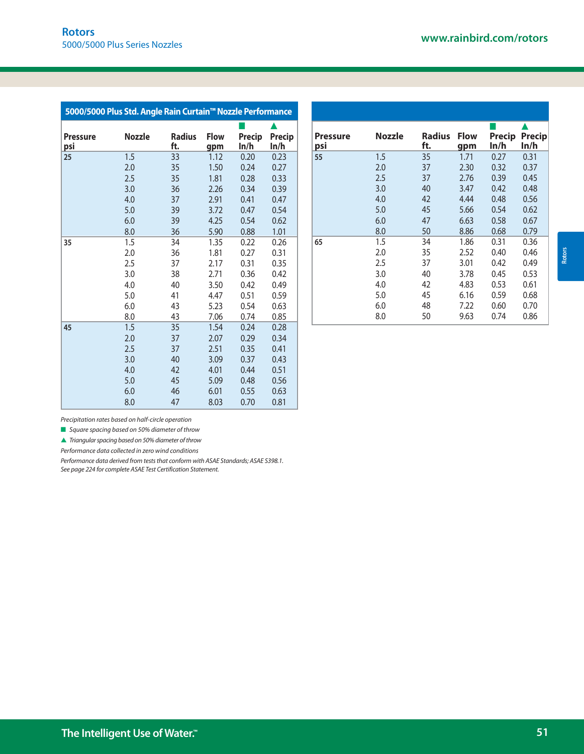| 5000/5000 Plus Std. Angle Rain Curtain™ Nozzle Performance |               |                      |                    |                |                |
|------------------------------------------------------------|---------------|----------------------|--------------------|----------------|----------------|
|                                                            |               |                      |                    |                |                |
| <b>Pressure</b><br><u>psi</u>                              | <b>Nozzle</b> | <b>Radius</b><br>ft. | <b>Flow</b><br>gpm | Precip<br>In/h | Precip<br>In/h |
| 25                                                         | 1.5           | 33                   | 1.12               | 0.20           | 0.23           |
|                                                            | 2.0           | 35                   | 1.50               | 0.24           | 0.27           |
|                                                            | 2.5           | 35                   | 1.81               | 0.28           | 0.33           |
|                                                            | 3.0           | 36                   | 2.26               | 0.34           | 0.39           |
|                                                            | 4.0           | 37                   | 2.91               | 0.41           | 0.47           |
|                                                            | 5.0           | 39                   | 3.72               | 0.47           | 0.54           |
|                                                            | 6.0           | 39                   | 4.25               | 0.54           | 0.62           |
|                                                            | 8.0           | 36                   | 5.90               | 0.88           | 1.01           |
| 35                                                         | 1.5           | 34                   | 1.35               | 0.22           | 0.26           |
|                                                            | 2.0           | 36                   | 1.81               | 0.27           | 0.31           |
|                                                            | 2.5           | 37                   | 2.17               | 0.31           | 0.35           |
|                                                            | 3.0           | 38                   | 2.71               | 0.36           | 0.42           |
|                                                            | 4.0           | 40                   | 3.50               | 0.42           | 0.49           |
|                                                            | 5.0           | 41                   | 4.47               | 0.51           | 0.59           |
|                                                            | 6.0           | 43                   | 5.23               | 0.54           | 0.63           |
|                                                            | 8.0           | 43                   | 7.06               | 0.74           | 0.85           |
| 45                                                         | 1.5           | 35                   | 1.54               | 0.24           | 0.28           |
|                                                            | 2.0           | 37                   | 2.07               | 0.29           | 0.34           |
|                                                            | 2.5           | 37                   | 2.51               | 0.35           | 0.41           |
|                                                            | 3.0           | 40                   | 3.09               | 0.37           | 0.43           |
|                                                            | 4.0           | 42                   | 4.01               | 0.44           | 0.51           |
|                                                            | 5.0           | 45                   | 5.09               | 0.48           | 0.56           |
|                                                            | 6.0           | 46                   | 6.01               | 0.55           | 0.63           |
|                                                            | 8.0           | 47                   | 8.03               | 0.70           | 0.81           |

| <b>Pressure</b><br>psi | <b>Nozzle</b> | <b>Radius</b><br>ft. | <b>Flow</b><br>gpm | Precip<br>ln/h | <b>Precip</b><br>ln/h |
|------------------------|---------------|----------------------|--------------------|----------------|-----------------------|
| 55                     | 1.5           | 35                   | 1.71               | 0.27           | 0.31                  |
|                        | 2.0           | 37                   | 2.30               | 0.32           | 0.37                  |
|                        | 2.5           | 37                   | 2.76               | 0.39           | 0.45                  |
|                        | 3.0           | 40                   | 3.47               | 0.42           | 0.48                  |
|                        | 4.0           | 42                   | 4.44               | 0.48           | 0.56                  |
|                        | 5.0           | 45                   | 5.66               | 0.54           | 0.62                  |
|                        | 6.0           | 47                   | 6.63               | 0.58           | 0.67                  |
|                        | 8.0           | 50                   | 8.86               | 0.68           | 0.79                  |
| 65                     | 1.5           | 34                   | 1.86               | 0.31           | 0.36                  |
|                        | 2.0           | 35                   | 2.52               | 0.40           | 0.46                  |
|                        | 2.5           | 37                   | 3.01               | 0.42           | 0.49                  |
|                        | 3.0           | 40                   | 3.78               | 0.45           | 0.53                  |
|                        | 4.0           | 42                   | 4.83               | 0.53           | 0.61                  |
|                        | 5.0           | 45                   | 6.16               | 0.59           | 0.68                  |
|                        | 6.0           | 48                   | 7.22               | 0.60           | 0.70                  |
|                        | 8.0           | 50                   | 9.63               | 0.74           | 0.86                  |

 $\blacksquare$  Square spacing based on 50% diameter of throw

 $\triangle$  Triangular spacing based on 50% diameter of throw

Performance data collected in zero wind conditions

Performance data derived from tests that conform with ASAE Standards; ASAE S398.1. See page 224 for complete ASAE Test Certification Statement.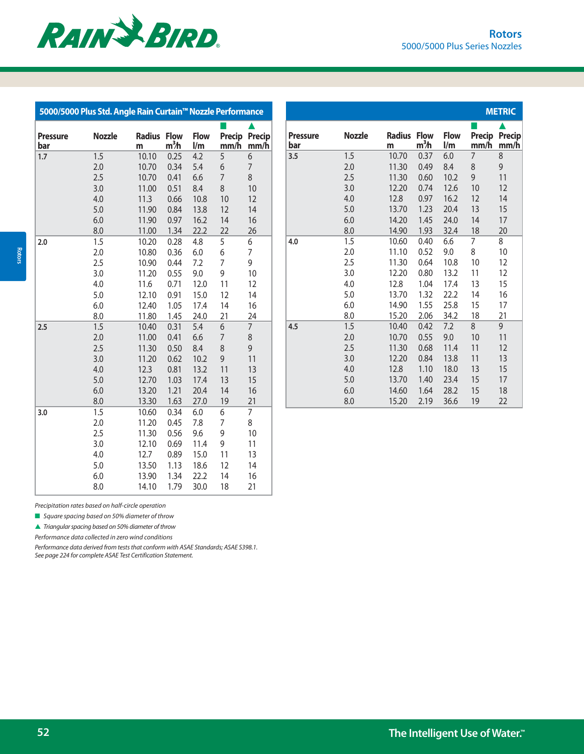

| 5000/5000 Plus Std. Angle Rain Curtain <sup>™</sup> Nozzle Performance |               |                    |                                 |                    |                |                       |
|------------------------------------------------------------------------|---------------|--------------------|---------------------------------|--------------------|----------------|-----------------------|
| <b>Pressure</b><br>bar                                                 | <b>Nozzle</b> | <b>Radius</b><br>m | <b>Flow</b><br>m <sup>3</sup> h | <b>Flow</b><br>l/m | Precip<br>mm/h | <b>Precip</b><br>mm/h |
| 1.7                                                                    | 1.5           | 10.10              | 0.25                            | 4.2                | 5              | 6                     |
|                                                                        | 2.0           | 10.70              | 0.34                            | 5.4                | 6              | 7                     |
|                                                                        | 2.5           | 10.70              | 0.41                            | 6.6                | $\overline{7}$ | 8                     |
|                                                                        | 3.0           | 11.00              | 0.51                            | 8.4                | 8              | 10                    |
|                                                                        | 4.0           | 11.3               | 0.66                            | 10.8               | 10             | 12                    |
|                                                                        | 5.0           | 11.90              | 0.84                            | 13.8               | 12             | 14                    |
|                                                                        | 6.0           | 11.90              | 0.97                            | 16.2               | 14             | 16                    |
|                                                                        | 8.0           | 11.00              | 1.34                            | 22.2               | 22             | 26                    |
| 2.0                                                                    | 1.5           | 10.20              | 0.28                            | 4.8                | 5              | 6                     |
|                                                                        | 2.0           | 10.80              | 0.36                            | 6.0                | 6              | $\overline{7}$        |
|                                                                        | 2.5           | 10.90              | 0.44                            | 7.2                | 7              | 9                     |
|                                                                        | 3.0           | 11.20              | 0.55                            | 9.0                | 9              | 10                    |
|                                                                        | 4.0           | 11.6               | 0.71                            | 12.0               | 11             | 12                    |
|                                                                        | 5.0           | 12.10              | 0.91                            | 15.0               | 12             | 14                    |
|                                                                        | 6.0           | 12.40              | 1.05                            | 17.4               | 14             | 16                    |
|                                                                        | 8.0           | 11.80              | 1.45                            | 24.0               | 21             | 24                    |
| 2.5                                                                    | 1.5           | 10.40              | 0.31                            | 5.4                | 6              | $\overline{7}$        |
|                                                                        | 2.0           | 11.00              | 0.41                            | 6.6                | $\overline{7}$ | 8                     |
|                                                                        | 2.5           | 11.30              | 0.50                            | 8.4                | 8              | 9                     |
|                                                                        | 3.0           | 11.20              | 0.62                            | 10.2               | 9              | 11                    |
|                                                                        | 4.0           | 12.3               | 0.81                            | 13.2               | 11             | 13                    |
|                                                                        | 5.0           | 12.70              | 1.03                            | 17.4               | 13             | 15                    |
|                                                                        | 6.0           | 13.20              | 1.21                            | 20.4               | 14             | 16                    |
|                                                                        | 8.0           | 13.30              | 1.63                            | 27.0               | 19             | 21                    |
| 3.0                                                                    | 1.5           | 10.60              | 0.34                            | $6.0\,$            | 6              | 7                     |
|                                                                        | 2.0           | 11.20              | 0.45                            | 7.8                | 7              | 8                     |
|                                                                        | 2.5           | 11.30              | 0.56                            | 9.6                | 9              | 10                    |
|                                                                        | 3.0           | 12.10              | 0.69                            | 11.4               | 9              | 11                    |
|                                                                        | 4.0           | 12.7               | 0.89                            | 15.0               | 11             | 13                    |
|                                                                        | 5.0           | 13.50              | 1.13                            | 18.6               | 12             | 14                    |
|                                                                        | 6.0           | 13.90              | 1.34                            | 22.2               | 14             | 16                    |
|                                                                        | 8.0           | 14.10              | 1.79                            | 30.0               | 18             | 21                    |

|                        |               |                    |                                 |                    |                     | <b>METRIC</b>         |
|------------------------|---------------|--------------------|---------------------------------|--------------------|---------------------|-----------------------|
| <b>Pressure</b><br>bar | <b>Nozzle</b> | <b>Radius</b><br>m | <b>Flow</b><br>m <sup>3</sup> h | <b>Flow</b><br>l/m | ×<br>Precip<br>mm/h | <b>Precip</b><br>mm/h |
| 3.5                    | 1.5           | 10.70              | 0.37                            | 6.0                | $\overline{7}$      | 8                     |
|                        | 2.0           | 11.30              | 0.49                            | 8.4                | 8                   | 9                     |
|                        | 2.5           | 11.30              | 0.60                            | 10.2               | 9                   | 11                    |
|                        | 3.0           | 12.20              | 0.74                            | 12.6               | 10                  | 12                    |
|                        | 4.0           | 12.8               | 0.97                            | 16.2               | 12                  | 14                    |
|                        | 5.0           | 13.70              | 1.23                            | 20.4               | 13                  | 15                    |
|                        | 6.0           | 14.20              | 1.45                            | 24.0               | 14                  | 17                    |
|                        | 8.0           | 14.90              | 1.93                            | 32.4               | 18                  | 20                    |
| 4.0                    | 1.5           | 10.60              | 0.40                            | 6.6                | 7                   | 8                     |
|                        | 2.0           | 11.10              | 0.52                            | 9.0                | 8                   | 10                    |
|                        | 2.5           | 11.30              | 0.64                            | 10.8               | 10                  | 12                    |
|                        | 3.0           | 12.20              | 0.80                            | 13.2               | 11                  | 12                    |
|                        | 4.0           | 12.8               | 1.04                            | 17.4               | 13                  | 15                    |
|                        | 5.0           | 13.70              | 1.32                            | 22.2               | 14                  | 16                    |
|                        | 6.0           | 14.90              | 1.55                            | 25.8               | 15                  | 17                    |
|                        | 8.0           | 15.20              | 2.06                            | 34.2               | 18                  | 21                    |
| 4.5                    | 1.5           | 10.40              | 0.42                            | 7.2                | 8                   | 9                     |
|                        | 2.0           | 10.70              | 0.55                            | 9.0                | 10                  | 11                    |
|                        | 2.5           | 11.30              | 0.68                            | 11.4               | 11                  | 12                    |
|                        | 3.0           | 12.20              | 0.84                            | 13.8               | 11                  | 13                    |
|                        | 4.0           | 12.8               | 1.10                            | 18.0               | 13                  | 15                    |
|                        | 5.0           | 13.70              | 1.40                            | 23.4               | 15                  | 17                    |
|                        | 6.0           | 14.60              | 1.64                            | 28.2               | 15                  | 18                    |
|                        | 8.0           | 15.20              | 2.19                            | 36.6               | 19                  | 22                    |

 $\blacksquare$  Square spacing based on 50% diameter of throw

 $\blacktriangle$  Triangular spacing based on 50% diameter of throw

Performance data collected in zero wind conditions

Performance data derived from tests that conform with ASAE Standards; ASAE S398.1. See page 224 for complete ASAE Test Certification Statement.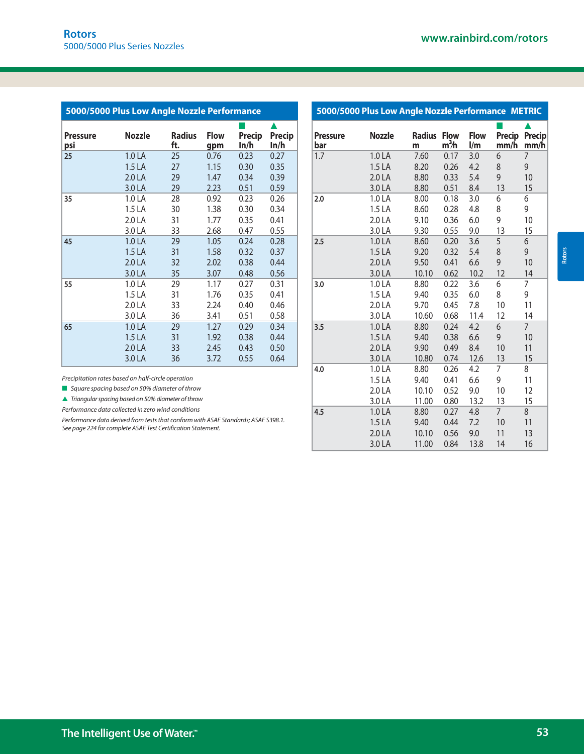| 5000/5000 Plus Low Angle Nozzle Performance |                   |               |             |        |        |
|---------------------------------------------|-------------------|---------------|-------------|--------|--------|
| <b>Pressure</b>                             | Nozzle            | <b>Radius</b> | <b>Flow</b> | Precip | Precip |
| psi                                         |                   | ft.           | gpm         | ln/h   | In/h   |
| 25                                          | 1.0 LA            | 25            | 0.76        | 0.23   | 0.27   |
|                                             | 1.5 <sub>LA</sub> | 27            | 1.15        | 0.30   | 0.35   |
|                                             | 2.0 LA            | 29            | 1.47        | 0.34   | 0.39   |
|                                             | 3.0 LA            | 29            | 2.23        | 0.51   | 0.59   |
| 35                                          | 1.0 LA            | 28            | 0.92        | 0.23   | 0.26   |
|                                             | 1.5 <sub>LA</sub> | 30            | 1.38        | 0.30   | 0.34   |
|                                             | 2.0 LA            | 31            | 1.77        | 0.35   | 0.41   |
|                                             | 3.0 LA            | 33            | 2.68        | 0.47   | 0.55   |
| 45                                          | 1.0 LA            | 29            | 1.05        | 0.24   | 0.28   |
|                                             | 1.5 <sub>LA</sub> | 31            | 1.58        | 0.32   | 0.37   |
|                                             | 2.0 <sub>LA</sub> | 32            | 2.02        | 0.38   | 0.44   |
|                                             | 3.0 LA            | 35            | 3.07        | 0.48   | 0.56   |
| 55                                          | 1.0 LA            | 29            | 1.17        | 0.27   | 0.31   |
|                                             | 1.5 <sub>LA</sub> | 31            | 1.76        | 0.35   | 0.41   |
|                                             | 2.0 LA            | 33            | 2.24        | 0.40   | 0.46   |
|                                             | 3.0 LA            | 36            | 3.41        | 0.51   | 0.58   |
| 65                                          | 1.0 LA            | 29            | 1.27        | 0.29   | 0.34   |
|                                             | 1.5 LA            | 31            | 1.92        | 0.38   | 0.44   |
|                                             | 2.0 <sub>LA</sub> | 33            | 2.45        | 0.43   | 0.50   |
|                                             | 3.0 LA            | 36            | 3.72        | 0.55   | 0.64   |

|                        | 5000/5000 Plus Low Angle Nozzle Performance METRIC |                    |                                 |                                        |                |                       |
|------------------------|----------------------------------------------------|--------------------|---------------------------------|----------------------------------------|----------------|-----------------------|
| <b>Pressure</b><br>bar | <b>Nozzle</b>                                      | <b>Radius</b><br>m | <b>Flow</b><br>m <sup>3</sup> h | <b>Flow</b><br>$\mathsf{I}/\mathsf{m}$ | Precip<br>mm/h | <b>Precip</b><br>mm/h |
| 1.7                    | 1.0 LA                                             | 7.60               | 0.17                            | 3.0                                    | 6              | 7                     |
|                        | 1.5 LA                                             | 8.20               | 0.26                            | 4.2                                    | 8              | 9                     |
|                        | 2.0 LA                                             | 8.80               | 0.33                            | 5.4                                    | 9              | 10                    |
|                        | 3.0 LA                                             | 8.80               | 0.51                            | 8.4                                    | 13             | 15                    |
| 2.0                    | 1.0 LA                                             | 8.00               | 0.18                            | 3.0                                    | 6              | 6                     |
|                        | 1.5 LA                                             | 8.60               | 0.28                            | 4.8                                    | 8              | 9                     |
|                        | 2.0 LA                                             | 9.10               | 0.36                            | 6.0                                    | 9              | 10                    |
|                        | 3.0 LA                                             | 9.30               | 0.55                            | 9.0                                    | 13             | 15                    |
| 2.5                    | 1.0 LA                                             | 8.60               | 0.20                            | 3.6                                    | 5              | 6                     |
|                        | 1.5 LA                                             | 9.20               | 0.32                            | 5.4                                    | 8              | 9                     |
|                        | 2.0 LA                                             | 9.50               | 0.41                            | 6.6                                    | 9              | 10                    |
|                        | 3.0 LA                                             | 10.10              | 0.62                            | 10.2                                   | 12             | 14                    |
| 3.0                    | 1.0 LA                                             | 8.80               | 0.22                            | 3.6                                    | 6              | 7                     |
|                        | 1.5 LA                                             | 9.40               | 0.35                            | 6.0                                    | 8              | 9                     |
|                        | 2.0 LA                                             | 9.70               | 0.45                            | 7.8                                    | 10             | 11                    |
|                        | 3.0 LA                                             | 10.60              | 0.68                            | 11.4                                   | 12             | 14                    |
| 3.5                    | 1.0 LA                                             | 8.80               | 0.24                            | 4.2                                    | 6              | $\overline{7}$        |
|                        | 1.5 LA                                             | 9.40               | 0.38                            | 6.6                                    | 9              | 10                    |
|                        | 2.0 LA                                             | 9.90               | 0.49                            | 8.4                                    | 10             | 11                    |
|                        | 3.0 LA                                             | 10.80              | 0.74                            | 12.6                                   | 13             | 15                    |
| 4.0                    | 1.0 LA                                             | 8.80               | 0.26                            | 4.2                                    | 7              | 8                     |
|                        | 1.5 LA                                             | 9.40               | 0.41                            | 6.6                                    | 9              | 11                    |
|                        | 2.0 LA                                             | 10.10              | 0.52                            | 9.0                                    | 10             | 12                    |
|                        | 3.0 LA                                             | 11.00              | 0.80                            | 13.2                                   | 13             | 15                    |
| 4.5                    | 1.0 LA                                             | 8.80               | 0.27                            | 4.8                                    | $\overline{7}$ | 8                     |
|                        | 1.5 <sub>LA</sub>                                  | 9.40               | 0.44                            | 7.2                                    | 10             | 11                    |
|                        | 2.0 LA                                             | 10.10              | 0.56                            | 9.0                                    | 11             | 13                    |
|                        | 3.0 LA                                             | 11.00              | 0.84                            | 13.8                                   | 14             | 16                    |

■ Square spacing based on 50% diameter of throw

 $\blacktriangle$  Triangular spacing based on 50% diameter of throw

Performance data collected in zero wind conditions

Performance data derived from tests that conform with ASAE Standards; ASAE S398.1. See page 224 for complete ASAE Test Certification Statement.

**Rotors**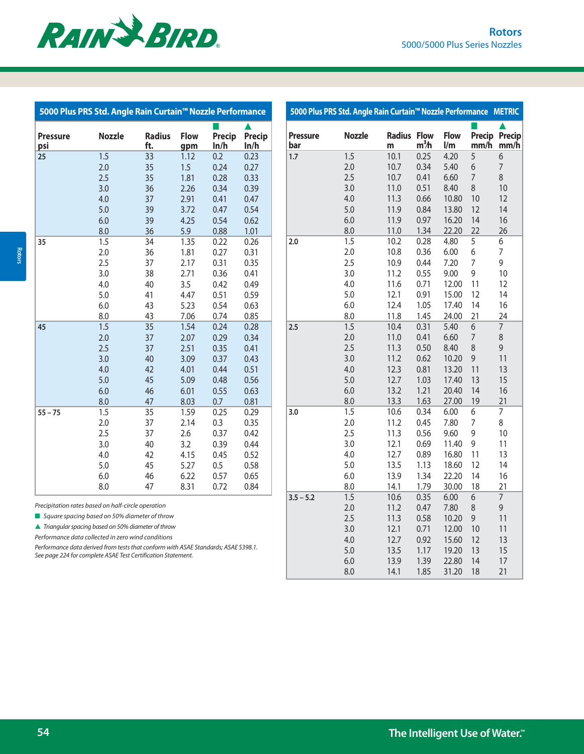| 5000 Plus PRS Std. Angle Rain Curtain™ Nozzle Performance |               |                      |                    |                |                |
|-----------------------------------------------------------|---------------|----------------------|--------------------|----------------|----------------|
| <b>Pressure</b><br>psi                                    | <b>Nozzle</b> | <b>Radius</b><br>ft. | <b>Flow</b><br>gpm | Precip<br>In/h | Precip<br>In/h |
| 25                                                        | 1.5           | 33                   | 1.12               | 0.2            | 0.23           |
|                                                           | 2.0           | 35                   | 1.5                | 0.24           | 0.27           |
|                                                           | 2.5           | 35                   | 1.81               | 0.28           | 0.33           |
|                                                           | 3.0           | 36                   | 2.26               | 0.34           | 0.39           |
|                                                           | 4.0           | 37                   | 2.91               | 0.41           | 0.47           |
|                                                           | 5.0           | 39                   | 3.72               | 0.47           | 0.54           |
|                                                           | 6.0           | 39                   | 4.25               | 0.54           | 0.62           |
|                                                           | 8.0           | 36                   | 5.9                | 0.88           | 1.01           |
| 35                                                        | 1.5           | 34                   | 1.35               | 0.22           | 0.26           |
|                                                           | 2.0           | 36                   | 1.81               | 0.27           | 0.31           |
|                                                           | 2.5           | 37                   | 2.17               | 0.31           | 0.35           |
|                                                           | 3.0           | 38                   | 2.71               | 0.36           | 0.41           |
|                                                           | 4.0           | 40                   | 3.5                | 0.42           | 0.49           |
|                                                           | 5.0           | 41                   | 4.47               | 0.51           | 0.59           |
|                                                           | 6.0           | 43                   | 5.23               | 0.54           | 0.63           |
|                                                           | 8.0           | 43                   | 7.06               | 0.74           | 0.85           |
| 45                                                        | 1.5           | 35                   | 1.54               | 0.24           | 0.28           |
|                                                           | 2.0           | 37                   | 2.07               | 0.29           | 0.34           |
|                                                           | 2.5           | 37                   | 2.51               | 0.35           | 0.41           |
|                                                           | 3.0           | 40                   | 3.09               | 0.37           | 0.43           |
|                                                           | 4.0           | 42                   | 4.01               | 0.44           | 0.51           |
|                                                           | 5.0           | 45                   | 5.09               | 0.48           | 0.56           |
|                                                           | 6.0           | 46                   | 6.01               | 0.55           | 0.63           |
|                                                           | 8.0           | 47                   | 8.03               | 0.7            | 0.81           |
| $55 - 75$                                                 | 1.5           | 35                   | 1.59               | 0.25           | 0.29           |
|                                                           | 2.0           | 37                   | 2.14               | 0.3            | 0.35           |
|                                                           | 2.5           | 37                   | 2.6                | 0.37           | 0.42           |
|                                                           | 3.0           | 40                   | 3.2                | 0.39           | 0.44           |
|                                                           | 4.0           | 42                   | 4.15               | 0.45           | 0.52           |
|                                                           | 5.0           | 45                   | 5.27               | 0.5            | 0.58           |
|                                                           | 6.0           | 46                   | 6.22               | 0.57           | 0.65           |
|                                                           | 8.0           | 47                   | 8.31               | 0.72           | 0.84           |

| 5000 Plus PRS Std. Angle Rain Curtain™ Nozzle Performance |                                                                                   |                      |                    |                |                | 5000 Plus PRS Std. Angle Rain Curtain™ Nozzle Performance METRIC |               |                         |                  |                                        |                              |                |
|-----------------------------------------------------------|-----------------------------------------------------------------------------------|----------------------|--------------------|----------------|----------------|------------------------------------------------------------------|---------------|-------------------------|------------------|----------------------------------------|------------------------------|----------------|
| Pressure<br>psi                                           | <b>Nozzle</b>                                                                     | <b>Radius</b><br>ft. | <b>Flow</b><br>gpm | Precip<br>ln/h | Precip<br>ln/h | <b>Pressure</b><br>bar                                           | <b>Nozzle</b> | <b>Radius Flow</b><br>m | m <sup>3</sup> h | <b>Flow</b><br>$\mathsf{I}/\mathsf{m}$ | <b>Precip Precip</b><br>mm/h | mm/h           |
| 25                                                        | 1.5                                                                               | 33                   | 1.12               | 0.2            | 0.23           | 1.7                                                              | 1.5           | 10.1                    | 0.25             | 4.20                                   | 5                            | 6              |
|                                                           | 2.0                                                                               | 35                   | 1.5                | 0.24           | 0.27           |                                                                  | 2.0           | 10.7                    | 0.34             | 5.40                                   | 6                            | 7              |
|                                                           | 2.5                                                                               | 35                   | 1.81               | 0.28           | 0.33           |                                                                  | 2.5           | 10.7                    | 0.41             | 6.60                                   | 7                            | 8              |
|                                                           | 3.0                                                                               | 36                   | 2.26               | 0.34           | 0.39           |                                                                  | 3.0           | 11.0                    | 0.51             | 8.40                                   | 8                            | 10             |
|                                                           | 4.0                                                                               | 37                   | 2.91               | 0.41           | 0.47           |                                                                  | 4.0           | 11.3                    | 0.66             | 10.80                                  | 10                           | 12             |
|                                                           | 5.0                                                                               | 39                   | 3.72               | 0.47           | 0.54           |                                                                  | 5.0           | 11.9                    | 0.84             | 13.80                                  | 12                           | 14             |
|                                                           | 6.0                                                                               | 39                   | 4.25               | 0.54           | 0.62           |                                                                  | 6.0           | 11.9                    | 0.97             | 16.20                                  | 14                           | 16             |
|                                                           | 8.0                                                                               | 36                   | 5.9                | 0.88           | 1.01           |                                                                  | 8.0           | 11.0                    | 1.34             | 22.20                                  | 22                           | 26             |
| 35                                                        | 1.5                                                                               | 34                   | 1.35               | 0.22           | 0.26           | 2.0                                                              | 1.5           | 10.2                    | 0.28             | 4.80                                   | 5                            | 6              |
|                                                           | 2.0                                                                               | 36                   | 1.81               | 0.27           | 0.31           |                                                                  | 2.0           | 10.8                    | 0.36             | 6.00                                   | 6                            | 7              |
|                                                           | 2.5                                                                               | 37                   | 2.17               | 0.31           | 0.35           |                                                                  | 2.5           | 10.9                    | 0.44             | 7.20                                   | 7                            | 9              |
|                                                           | 3.0                                                                               | 38                   | 2.71               | 0.36           | 0.41           |                                                                  | 3.0           | 11.2                    | 0.55             | 9.00                                   | 9                            | 10             |
|                                                           | 4.0                                                                               | 40                   | 3.5                | 0.42           | 0.49           |                                                                  | 4.0           | 11.6                    | 0.71             | 12.00                                  | 11                           | 12             |
|                                                           | 5.0                                                                               | 41                   | 4.47               | 0.51           | 0.59           |                                                                  | 5.0           | 12.1                    | 0.91             | 15.00                                  | 12                           | 14             |
|                                                           | 6.0                                                                               | 43                   | 5.23               | 0.54           | 0.63           |                                                                  | 6.0           | 12.4                    | 1.05             | 17.40                                  | 14                           | 16             |
|                                                           | 8.0                                                                               | 43                   | 7.06               | 0.74           | 0.85           |                                                                  | 8.0           | 11.8                    | 1.45             | 24.00                                  | 21                           | 24             |
| 45                                                        | 1.5                                                                               | 35                   | 1.54               | 0.24           | 0.28           | 2.5                                                              | 1.5           | 10.4                    | 0.31             | 5.40                                   | 6                            | $\overline{7}$ |
|                                                           | 2.0                                                                               | 37                   | 2.07               | 0.29           | 0.34           |                                                                  | 2.0           | 11.0                    | 0.41             | 6.60                                   | 7                            | 8              |
|                                                           | 2.5                                                                               | 37                   | 2.51               | 0.35           | 0.41           |                                                                  | 2.5           | 11.3                    | 0.50             | 8.40                                   | 8                            | 9              |
|                                                           | 3.0                                                                               | 40                   | 3.09               | 0.37           | 0.43           |                                                                  | 3.0           | 11.2                    | 0.62             | 10.20                                  | 9                            | 11             |
|                                                           | 4.0                                                                               | 42                   | 4.01               | 0.44           | 0.51           |                                                                  | 4.0           | 12.3                    | 0.81             | 13.20                                  | 11                           | 13             |
|                                                           | 5.0                                                                               | 45                   | 5.09               | 0.48           | 0.56           |                                                                  | 5.0           | 12.7                    | 1.03             | 17.40                                  | 13                           | 15             |
|                                                           | 6.0                                                                               | 46                   | 6.01               | 0.55           | 0.63           |                                                                  | 6.0           | 13.2                    | 1.21             | 20.40                                  | 14                           | 16             |
|                                                           | 8.0                                                                               | 47                   | 8.03               | 0.7            | 0.81           |                                                                  | 8.0           | 13.3                    | 1.63             | 27.00                                  | 19                           | 21             |
| $55 - 75$                                                 | 1.5                                                                               | 35                   | 1.59               | 0.25           | 0.29           | 3.0                                                              | 1.5           | 10.6                    | 0.34             | 6.00                                   | 6                            | $\overline{7}$ |
|                                                           | 2.0                                                                               | 37                   | 2.14               | 0.3            | 0.35           |                                                                  | 2.0           | 11.2                    | 0.45             | 7.80                                   | 7                            | 8              |
|                                                           | 2.5                                                                               | 37                   | 2.6                | 0.37           | 0.42           |                                                                  | 2.5           | 11.3                    | 0.56             | 9.60                                   | 9                            | 10             |
|                                                           | 3.0                                                                               | 40                   | 3.2                | 0.39           | 0.44           |                                                                  | 3.0           | 12.1                    | 0.69             | 11.40                                  | 9                            | 11             |
|                                                           | 4.0                                                                               | 42                   | 4.15               | 0.45           | 0.52           |                                                                  | 4.0           | 12.7                    | 0.89             | 16.80                                  | 11                           | 13             |
|                                                           | 5.0                                                                               | 45                   | 5.27               | 0.5            | 0.58           |                                                                  | 5.0           | 13.5                    | 1.13             | 18.60                                  | 12                           | 14             |
|                                                           | 6.0                                                                               | 46                   | 6.22               | 0.57           | 0.65           |                                                                  | 6.0           | 13.9                    | 1.34             | 22.20                                  | 14                           | 16             |
|                                                           | 8.0                                                                               | 47                   | 8.31               | 0.72           | 0.84           |                                                                  | 8.0           | 14.1                    | 1.79             | 30.00                                  | 18                           | 21             |
|                                                           |                                                                                   |                      |                    |                |                | $3.5 - 5.2$                                                      | 1.5           | 10.6                    | 0.35             | 6.00                                   | 6                            | $\overline{7}$ |
|                                                           | recipitation rates based on half-circle operation                                 |                      |                    |                |                |                                                                  | 2.0           | 11.2                    | 0.47             | 7.80                                   | 8                            | 9              |
|                                                           | Square spacing based on 50% diameter of throw                                     |                      |                    |                |                |                                                                  | 2.5           | 11.3                    | 0.58             | 10.20                                  | 9                            | 11             |
|                                                           | $\sqrt{ }$ Triangular spacing based on 50% diameter of throw                      |                      |                    |                |                |                                                                  | 3.0           | 12.1                    | 0.71             | 12.00                                  | 10                           | 11             |
|                                                           | erformance data collected in zero wind conditions                                 |                      |                    |                |                |                                                                  | 4.0           | 12.7                    | 0.92             | 15.60                                  | 12                           | 13             |
|                                                           | erformance data derived from tests that conform with ASAE Standards; ASAE S398.1. |                      |                    |                |                |                                                                  | 5.0           | 13.5                    | 1.17             | 19.20                                  | 13                           | 15             |
|                                                           | ee page 224 for complete ASAE Test Certification Statement.                       |                      |                    |                |                |                                                                  | 6.0           | 13.9                    | 1.39             | 22.80                                  | 14                           | 17             |
|                                                           |                                                                                   |                      |                    |                |                |                                                                  | 8.0           | 14.1                    | 1.85             | 31.20                                  | 18                           | 21             |
|                                                           |                                                                                   |                      |                    |                |                |                                                                  |               |                         |                  |                                        |                              |                |

**54 The Intelligent Use of Water.™**